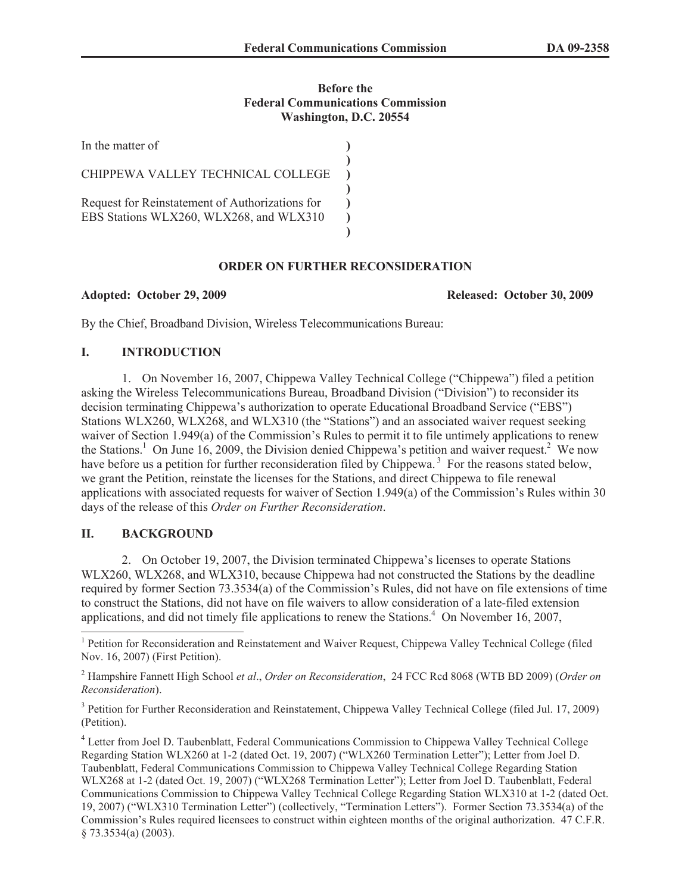### **Before the Federal Communications Commission Washington, D.C. 20554**

| In the matter of                                                                           |  |
|--------------------------------------------------------------------------------------------|--|
| CHIPPEWA VALLEY TECHNICAL COLLEGE                                                          |  |
| Request for Reinstatement of Authorizations for<br>EBS Stations WLX260, WLX268, and WLX310 |  |

## **ORDER ON FURTHER RECONSIDERATION**

**Adopted: October 29, 2009 Released: October 30, 2009**

By the Chief, Broadband Division, Wireless Telecommunications Bureau:

# **I. INTRODUCTION**

1. On November 16, 2007, Chippewa Valley Technical College ("Chippewa") filed a petition asking the Wireless Telecommunications Bureau, Broadband Division ("Division") to reconsider its decision terminating Chippewa's authorization to operate Educational Broadband Service ("EBS") Stations WLX260, WLX268, and WLX310 (the "Stations") and an associated waiver request seeking waiver of Section 1.949(a) of the Commission's Rules to permit it to file untimely applications to renew the Stations.<sup>1</sup> On June 16, 2009, the Division denied Chippewa's petition and waiver request.<sup>2</sup> We now have before us a petition for further reconsideration filed by Chippewa.<sup>3</sup> For the reasons stated below, we grant the Petition, reinstate the licenses for the Stations, and direct Chippewa to file renewal applications with associated requests for waiver of Section 1.949(a) of the Commission's Rules within 30 days of the release of this *Order on Further Reconsideration*.

# **II. BACKGROUND**

2. On October 19, 2007, the Division terminated Chippewa's licenses to operate Stations WLX260, WLX268, and WLX310, because Chippewa had not constructed the Stations by the deadline required by former Section 73.3534(a) of the Commission's Rules, did not have on file extensions of time to construct the Stations, did not have on file waivers to allow consideration of a late-filed extension applications, and did not timely file applications to renew the Stations.<sup>4</sup> On November 16, 2007,

<sup>&</sup>lt;sup>1</sup> Petition for Reconsideration and Reinstatement and Waiver Request, Chippewa Valley Technical College (filed Nov. 16, 2007) (First Petition).

<sup>2</sup> Hampshire Fannett High School *et al*., *Order on Reconsideration*, 24 FCC Rcd 8068 (WTB BD 2009) (*Order on Reconsideration*).

<sup>&</sup>lt;sup>3</sup> Petition for Further Reconsideration and Reinstatement, Chippewa Valley Technical College (filed Jul. 17, 2009) (Petition).

<sup>4</sup> Letter from Joel D. Taubenblatt, Federal Communications Commission to Chippewa Valley Technical College Regarding Station WLX260 at 1-2 (dated Oct. 19, 2007) ("WLX260 Termination Letter"); Letter from Joel D. Taubenblatt, Federal Communications Commission to Chippewa Valley Technical College Regarding Station WLX268 at 1-2 (dated Oct. 19, 2007) ("WLX268 Termination Letter"); Letter from Joel D. Taubenblatt, Federal Communications Commission to Chippewa Valley Technical College Regarding Station WLX310 at 1-2 (dated Oct. 19, 2007) ("WLX310 Termination Letter") (collectively, "Termination Letters"). Former Section 73.3534(a) of the Commission's Rules required licensees to construct within eighteen months of the original authorization. 47 C.F.R. § 73.3534(a) (2003).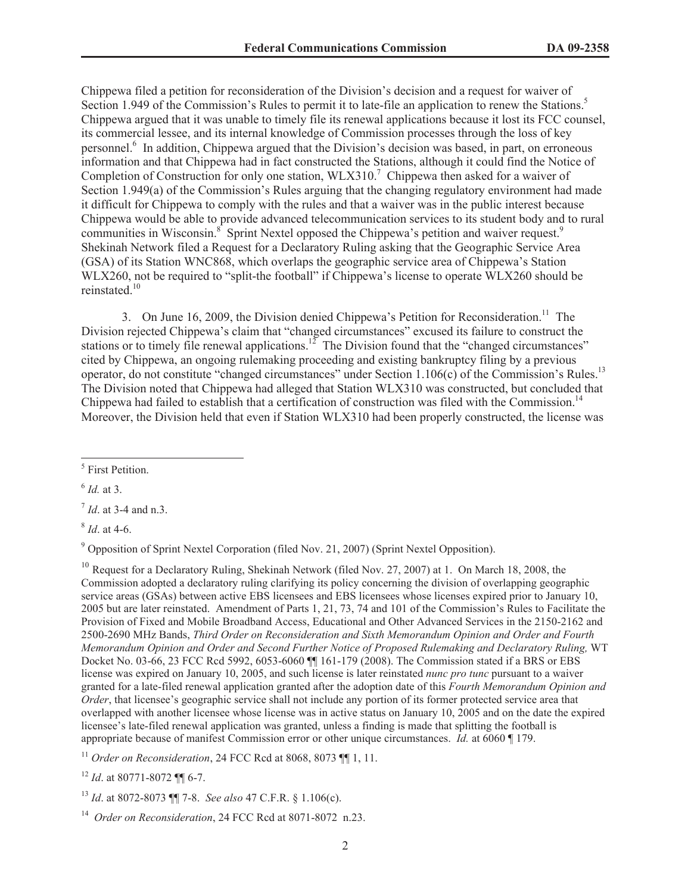Chippewa filed a petition for reconsideration of the Division's decision and a request for waiver of Section 1.949 of the Commission's Rules to permit it to late-file an application to renew the Stations.<sup>5</sup> Chippewa argued that it was unable to timely file its renewal applications because it lost its FCC counsel, its commercial lessee, and its internal knowledge of Commission processes through the loss of key personnel.<sup>6</sup> In addition, Chippewa argued that the Division's decision was based, in part, on erroneous information and that Chippewa had in fact constructed the Stations, although it could find the Notice of Completion of Construction for only one station,  $WLX310<sup>7</sup>$  Chippewa then asked for a waiver of Section 1.949(a) of the Commission's Rules arguing that the changing regulatory environment had made it difficult for Chippewa to comply with the rules and that a waiver was in the public interest because Chippewa would be able to provide advanced telecommunication services to its student body and to rural communities in Wisconsin.<sup>8</sup> Sprint Nextel opposed the Chippewa's petition and waiver request.<sup>9</sup> Shekinah Network filed a Request for a Declaratory Ruling asking that the Geographic Service Area (GSA) of its Station WNC868, which overlaps the geographic service area of Chippewa's Station WLX260, not be required to "split-the football" if Chippewa's license to operate WLX260 should be reinstated<sup>10</sup>

3. On June 16, 2009, the Division denied Chippewa's Petition for Reconsideration.<sup>11</sup> The Division rejected Chippewa's claim that "changed circumstances" excused its failure to construct the stations or to timely file renewal applications.<sup>12</sup> The Division found that the "changed circumstances" cited by Chippewa, an ongoing rulemaking proceeding and existing bankruptcy filing by a previous operator, do not constitute "changed circumstances" under Section 1.106(c) of the Commission's Rules.<sup>13</sup> The Division noted that Chippewa had alleged that Station WLX310 was constructed, but concluded that Chippewa had failed to establish that a certification of construction was filed with the Commission.<sup>14</sup> Moreover, the Division held that even if Station WLX310 had been properly constructed, the license was

6 *Id.* at 3.

8 *Id*. at 4-6.

<sup>9</sup> Opposition of Sprint Nextel Corporation (filed Nov. 21, 2007) (Sprint Nextel Opposition).

<sup>10</sup> Request for a Declaratory Ruling, Shekinah Network (filed Nov. 27, 2007) at 1. On March 18, 2008, the Commission adopted a declaratory ruling clarifying its policy concerning the division of overlapping geographic service areas (GSAs) between active EBS licensees and EBS licensees whose licenses expired prior to January 10, 2005 but are later reinstated. Amendment of Parts 1, 21, 73, 74 and 101 of the Commission's Rules to Facilitate the Provision of Fixed and Mobile Broadband Access, Educational and Other Advanced Services in the 2150-2162 and 2500-2690 MHz Bands, *Third Order on Reconsideration and Sixth Memorandum Opinion and Order and Fourth Memorandum Opinion and Order and Second Further Notice of Proposed Rulemaking and Declaratory Ruling,* WT Docket No. 03-66, 23 FCC Rcd 5992, 6053-6060 ¶¶ 161-179 (2008). The Commission stated if a BRS or EBS license was expired on January 10, 2005, and such license is later reinstated *nunc pro tunc* pursuant to a waiver granted for a late-filed renewal application granted after the adoption date of this *Fourth Memorandum Opinion and Order*, that licensee's geographic service shall not include any portion of its former protected service area that overlapped with another licensee whose license was in active status on January 10, 2005 and on the date the expired licensee's late-filed renewal application was granted, unless a finding is made that splitting the football is appropriate because of manifest Commission error or other unique circumstances. *Id.* at 6060 ¶ 179.

<sup>11</sup> *Order on Reconsideration*, 24 FCC Rcd at 8068, 8073 ¶¶ 1, 11.

<sup>12</sup> *Id*. at 80771-8072 ¶¶ 6-7.

<sup>13</sup> *Id*. at 8072-8073 ¶¶ 7-8. *See also* 47 C.F.R. § 1.106(c).

<sup>14</sup> *Order on Reconsideration*, 24 FCC Rcd at 8071-8072 n.23.

<sup>5</sup> First Petition.

<sup>7</sup> *Id*. at 3-4 and n.3.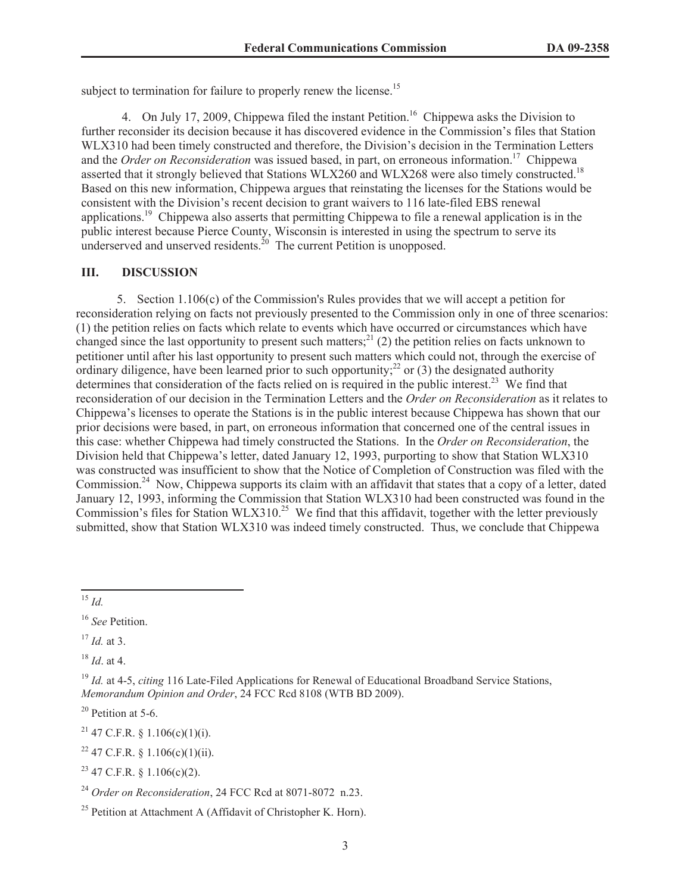subject to termination for failure to properly renew the license.<sup>15</sup>

4. On July 17, 2009, Chippewa filed the instant Petition.<sup>16</sup> Chippewa asks the Division to further reconsider its decision because it has discovered evidence in the Commission's files that Station WLX310 had been timely constructed and therefore, the Division's decision in the Termination Letters and the *Order on Reconsideration* was issued based, in part, on erroneous information.<sup>17</sup> Chippewa asserted that it strongly believed that Stations WLX260 and WLX268 were also timely constructed.<sup>18</sup> Based on this new information, Chippewa argues that reinstating the licenses for the Stations would be consistent with the Division's recent decision to grant waivers to 116 late-filed EBS renewal applications.<sup>19</sup> Chippewa also asserts that permitting Chippewa to file a renewal application is in the public interest because Pierce County, Wisconsin is interested in using the spectrum to serve its underserved and unserved residents.<sup>20</sup> The current Petition is unopposed.

## **III. DISCUSSION**

5. Section 1.106(c) of the Commission's Rules provides that we will accept a petition for reconsideration relying on facts not previously presented to the Commission only in one of three scenarios: (1) the petition relies on facts which relate to events which have occurred or circumstances which have changed since the last opportunity to present such matters;<sup>21</sup> (2) the petition relies on facts unknown to petitioner until after his last opportunity to present such matters which could not, through the exercise of ordinary diligence, have been learned prior to such opportunity;<sup>22</sup> or (3) the designated authority determines that consideration of the facts relied on is required in the public interest.<sup>23</sup> We find that reconsideration of our decision in the Termination Letters and the *Order on Reconsideration* as it relates to Chippewa's licenses to operate the Stations is in the public interest because Chippewa has shown that our prior decisions were based, in part, on erroneous information that concerned one of the central issues in this case: whether Chippewa had timely constructed the Stations. In the *Order on Reconsideration*, the Division held that Chippewa's letter, dated January 12, 1993, purporting to show that Station WLX310 was constructed was insufficient to show that the Notice of Completion of Construction was filed with the Commission.<sup>24</sup> Now, Chippewa supports its claim with an affidavit that states that a copy of a letter, dated January 12, 1993, informing the Commission that Station WLX310 had been constructed was found in the Commission's files for Station WLX310.<sup>25</sup> We find that this affidavit, together with the letter previously submitted, show that Station WLX310 was indeed timely constructed. Thus, we conclude that Chippewa

<sup>15</sup> *Id.*

<sup>17</sup> *Id.* at 3.

<sup>18</sup> *Id*. at 4.

 $20$  Petition at 5-6.

<sup>21</sup> 47 C.F.R. § 1.106(c)(1)(i).

 $22$  47 C.F.R. § 1.106(c)(1)(ii).

 $23$  47 C.F.R. § 1.106(c)(2).

<sup>24</sup> *Order on Reconsideration*, 24 FCC Rcd at 8071-8072 n.23.

<sup>16</sup> *See* Petition.

<sup>&</sup>lt;sup>19</sup> *Id.* at 4-5, *citing* 116 Late-Filed Applications for Renewal of Educational Broadband Service Stations. *Memorandum Opinion and Order*, 24 FCC Rcd 8108 (WTB BD 2009).

 $25$  Petition at Attachment A (Affidavit of Christopher K. Horn).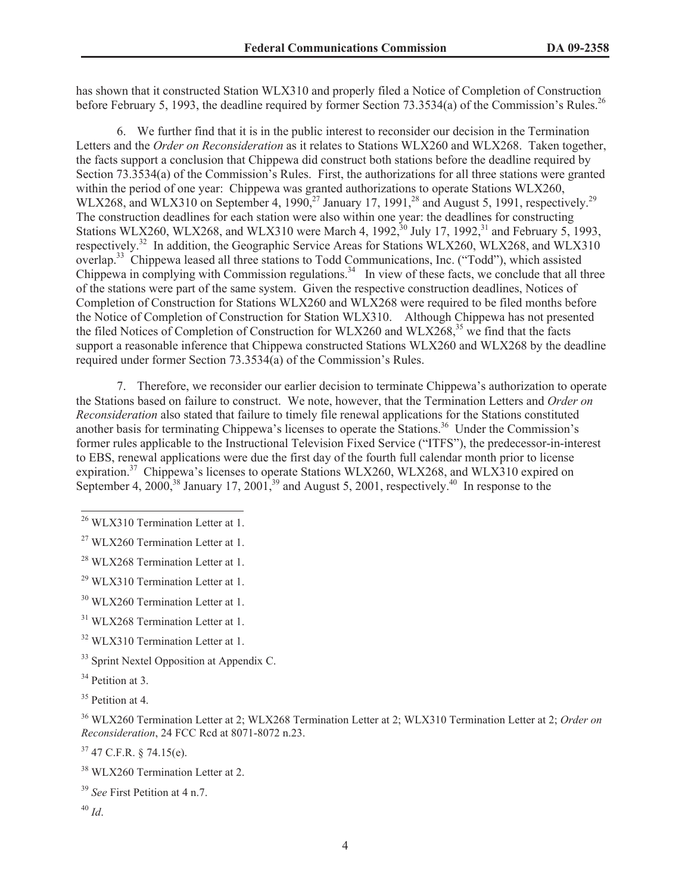has shown that it constructed Station WLX310 and properly filed a Notice of Completion of Construction before February 5, 1993, the deadline required by former Section 73.3534(a) of the Commission's Rules.<sup>26</sup>

6. We further find that it is in the public interest to reconsider our decision in the Termination Letters and the *Order on Reconsideration* as it relates to Stations WLX260 and WLX268. Taken together, the facts support a conclusion that Chippewa did construct both stations before the deadline required by Section 73.3534(a) of the Commission's Rules. First, the authorizations for all three stations were granted within the period of one year: Chippewa was granted authorizations to operate Stations WLX260, WLX268, and WLX310 on September 4, 1990,<sup>27</sup> January 17, 1991,<sup>28</sup> and August 5, 1991, respectively.<sup>29</sup> The construction deadlines for each station were also within one year: the deadlines for constructing Stations WLX260, WLX268, and WLX310 were March 4, 1992,<sup>30</sup> July 17, 1992,<sup>31</sup> and February 5, 1993, respectively.<sup>32</sup> In addition, the Geographic Service Areas for Stations WLX260, WLX268, and WLX310 overlap.<sup>33</sup> Chippewa leased all three stations to Todd Communications, Inc. ("Todd"), which assisted Chippewa in complying with Commission regulations.<sup>34</sup> In view of these facts, we conclude that all three of the stations were part of the same system. Given the respective construction deadlines, Notices of Completion of Construction for Stations WLX260 and WLX268 were required to be filed months before the Notice of Completion of Construction for Station WLX310. Although Chippewa has not presented the filed Notices of Completion of Construction for WLX260 and WLX268,  $35$  we find that the facts support a reasonable inference that Chippewa constructed Stations WLX260 and WLX268 by the deadline required under former Section 73.3534(a) of the Commission's Rules.

7. Therefore, we reconsider our earlier decision to terminate Chippewa's authorization to operate the Stations based on failure to construct. We note, however, that the Termination Letters and *Order on Reconsideration* also stated that failure to timely file renewal applications for the Stations constituted another basis for terminating Chippewa's licenses to operate the Stations.<sup>36</sup> Under the Commission's former rules applicable to the Instructional Television Fixed Service ("ITFS"), the predecessor-in-interest to EBS, renewal applications were due the first day of the fourth full calendar month prior to license expiration.<sup>37</sup> Chippewa's licenses to operate Stations WLX260, WLX268, and WLX310 expired on September 4, 2000,<sup>38</sup> January 17, 2001,<sup>39</sup> and August 5, 2001, respectively.<sup>40</sup> In response to the

 $37$  47 C.F.R. § 74.15(e).

<sup>40</sup> *Id*.

<sup>&</sup>lt;sup>26</sup> WLX310 Termination Letter at 1.

 $27$  WLX260 Termination Letter at 1.

 $^{28}$  WLX268 Termination Letter at 1.

<sup>&</sup>lt;sup>29</sup> WLX310 Termination Letter at 1.

<sup>&</sup>lt;sup>30</sup> WLX260 Termination Letter at 1.

<sup>&</sup>lt;sup>31</sup> WLX268 Termination Letter at 1.

<sup>&</sup>lt;sup>32</sup> WLX310 Termination Letter at 1.

<sup>&</sup>lt;sup>33</sup> Sprint Nextel Opposition at Appendix C.

<sup>&</sup>lt;sup>34</sup> Petition at 3.

<sup>&</sup>lt;sup>35</sup> Petition at 4.

<sup>36</sup> WLX260 Termination Letter at 2; WLX268 Termination Letter at 2; WLX310 Termination Letter at 2; *Order on Reconsideration*, 24 FCC Rcd at 8071-8072 n.23.

<sup>&</sup>lt;sup>38</sup> WLX260 Termination Letter at 2.

<sup>39</sup> *See* First Petition at 4 n.7.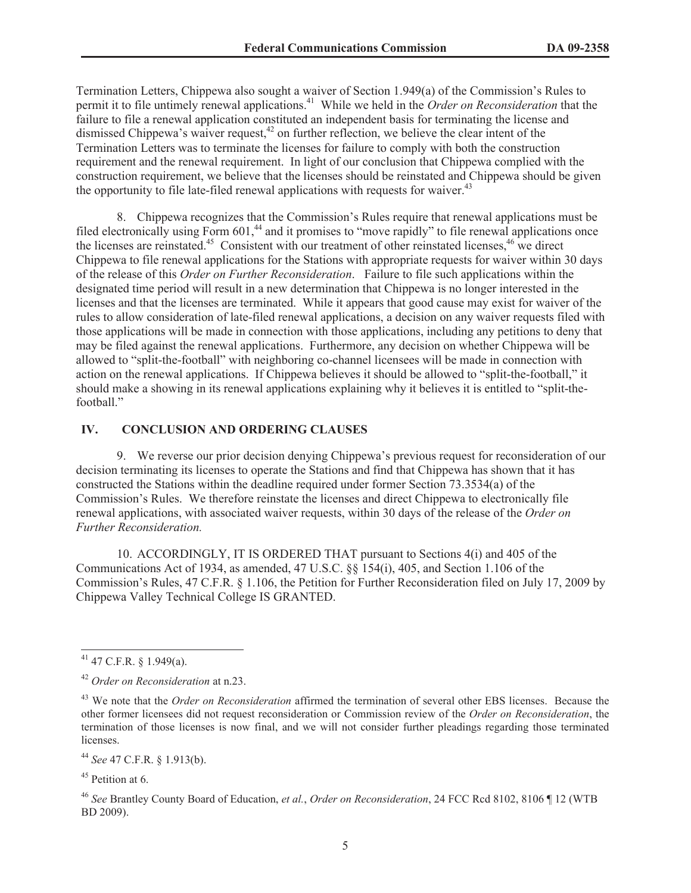Termination Letters, Chippewa also sought a waiver of Section 1.949(a) of the Commission's Rules to permit it to file untimely renewal applications. <sup>41</sup> While we held in the *Order on Reconsideration* that the failure to file a renewal application constituted an independent basis for terminating the license and dismissed Chippewa's waiver request, $42$  on further reflection, we believe the clear intent of the Termination Letters was to terminate the licenses for failure to comply with both the construction requirement and the renewal requirement. In light of our conclusion that Chippewa complied with the construction requirement, we believe that the licenses should be reinstated and Chippewa should be given the opportunity to file late-filed renewal applications with requests for waiver.<sup>43</sup>

8. Chippewa recognizes that the Commission's Rules require that renewal applications must be filed electronically using Form 601,<sup>44</sup> and it promises to "move rapidly" to file renewal applications once the licenses are reinstated.<sup>45</sup> Consistent with our treatment of other reinstated licenses,  $46 \text{ we direct}$ Chippewa to file renewal applications for the Stations with appropriate requests for waiver within 30 days of the release of this *Order on Further Reconsideration*. Failure to file such applications within the designated time period will result in a new determination that Chippewa is no longer interested in the licenses and that the licenses are terminated. While it appears that good cause may exist for waiver of the rules to allow consideration of late-filed renewal applications, a decision on any waiver requests filed with those applications will be made in connection with those applications, including any petitions to deny that may be filed against the renewal applications. Furthermore, any decision on whether Chippewa will be allowed to "split-the-football" with neighboring co-channel licensees will be made in connection with action on the renewal applications. If Chippewa believes it should be allowed to "split-the-football," it should make a showing in its renewal applications explaining why it believes it is entitled to "split-thefootball."

# **IV. CONCLUSION AND ORDERING CLAUSES**

9. We reverse our prior decision denying Chippewa's previous request for reconsideration of our decision terminating its licenses to operate the Stations and find that Chippewa has shown that it has constructed the Stations within the deadline required under former Section 73.3534(a) of the Commission's Rules. We therefore reinstate the licenses and direct Chippewa to electronically file renewal applications, with associated waiver requests, within 30 days of the release of the *Order on Further Reconsideration.*

10. ACCORDINGLY, IT IS ORDERED THAT pursuant to Sections 4(i) and 405 of the Communications Act of 1934, as amended, 47 U.S.C. §§ 154(i), 405, and Section 1.106 of the Commission's Rules, 47 C.F.R. § 1.106, the Petition for Further Reconsideration filed on July 17, 2009 by Chippewa Valley Technical College IS GRANTED.

<sup>44</sup> *See* 47 C.F.R. § 1.913(b).

 $45$  Petition at 6.

 $41$  47 C.F.R. § 1.949(a).

<sup>42</sup> *Order on Reconsideration* at n.23.

<sup>&</sup>lt;sup>43</sup> We note that the *Order on Reconsideration* affirmed the termination of several other EBS licenses. Because the other former licensees did not request reconsideration or Commission review of the *Order on Reconsideration*, the termination of those licenses is now final, and we will not consider further pleadings regarding those terminated licenses.

<sup>46</sup> *See* Brantley County Board of Education, *et al.*, *Order on Reconsideration*, 24 FCC Rcd 8102, 8106 ¶ 12 (WTB BD 2009).